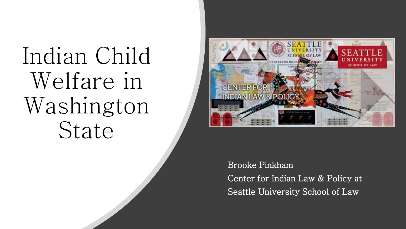Indian Child Welfare in Washington State



Brooke Pinkham Center for Indian Law & Policy at Seattle University School of Law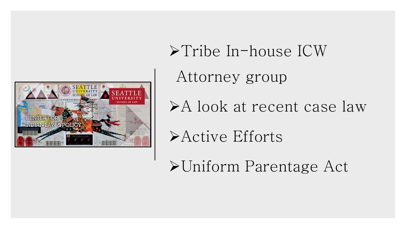

Tribe In-house ICW Attorney group A look at recent case law Active Efforts

Uniform Parentage Act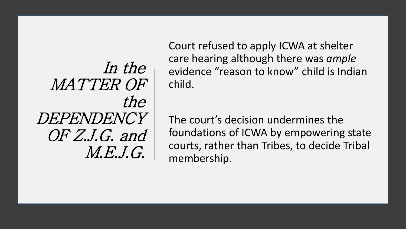In the MATTER OF the DEPENDENCY OF Z.J.G. and M.E.J.G.

Court refused to apply ICWA at shelter care hearing although there was *ample*  evidence "reason to know" child is Indian child.

The court's decision undermines the foundations of ICWA by empowering state courts, rather than Tribes, to decide Tribal membership.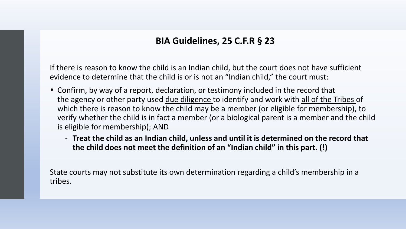#### **BIA Guidelines, 25 C.F.R § 23**

If there is reason to know the child is an Indian child, but the court does not have sufficient evidence to determine that the child is or is not an "Indian child," the court must:

- Confirm, by way of a report, declaration, or testimony included in the record that the agency or other party used due diligence to identify and work with all of the Tribes of which there is reason to know the child may be a member (or eligible for membership), to verify whether the child is in fact a member (or a biological parent is a member and the child is eligible for membership); AND
	- **Treat the child as an Indian child, unless and until it is determined on the record that the child does not meet the definition of an "Indian child" in this part. (!)**

State courts may not substitute its own determination regarding a child's membership in a tribes.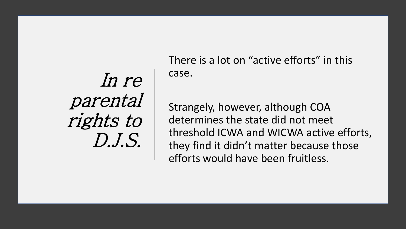In re parental rights to D.J.S.

There is a lot on "active efforts" in this case.

Strangely, however, although COA determines the state did not meet threshold ICWA and WICWA active efforts, they find it didn't matter because those efforts would have been fruitless.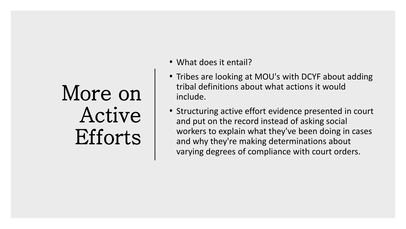## More on Active Efforts

- What does it entail?
- Tribes are looking at MOU's with DCYF about adding tribal definitions about what actions it would include.
- Structuring active effort evidence presented in court and put on the record instead of asking social workers to explain what they've been doing in cases and why they're making determinations about varying degrees of compliance with court orders.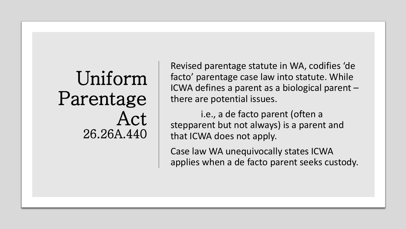# Uniform Parentage Act 26.26A.440

Revised parentage statute in WA, codifies 'de facto' parentage case law into statute. While ICWA defines a parent as a biological parent – there are potential issues.

i.e., a de facto parent (often a stepparent but not always) is a parent and that ICWA does not apply.

Case law WA unequivocally states ICWA applies when a de facto parent seeks custody.